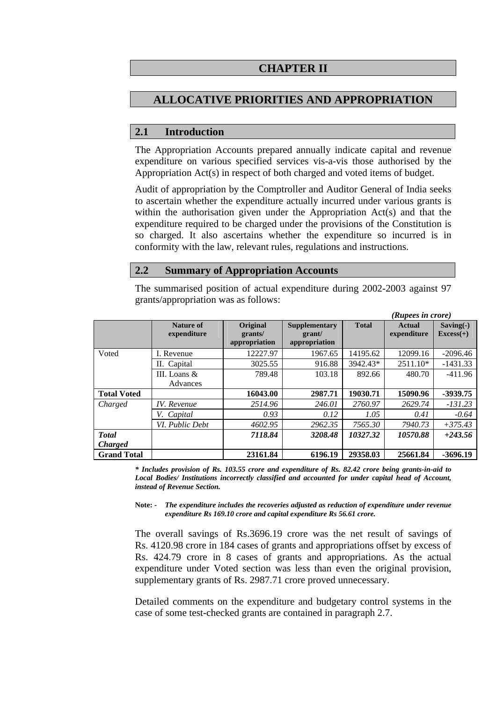## **CHAPTER II**

# **ALLOCATIVE PRIORITIES AND APPROPRIATION**

### **2.1 Introduction**

The Appropriation Accounts prepared annually indicate capital and revenue expenditure on various specified services vis-a-vis those authorised by the Appropriation Act(s) in respect of both charged and voted items of budget.

Audit of appropriation by the Comptroller and Auditor General of India seeks to ascertain whether the expenditure actually incurred under various grants is within the authorisation given under the Appropriation Act(s) and that the expenditure required to be charged under the provisions of the Constitution is so charged. It also ascertains whether the expenditure so incurred is in conformity with the law, relevant rules, regulations and instructions.

#### **2.2 Summary of Appropriation Accounts**

The summarised position of actual expenditure during 2002-2003 against 97 grants/appropriation was as follows:

|                    |                          |                                      |                                                 |              | (Rupees in crore)     |                            |
|--------------------|--------------------------|--------------------------------------|-------------------------------------------------|--------------|-----------------------|----------------------------|
|                    | Nature of<br>expenditure | Original<br>grants/<br>appropriation | <b>Supplementary</b><br>grant/<br>appropriation | <b>Total</b> | Actual<br>expenditure | $Saving(-)$<br>$Excess(+)$ |
| Voted              | I. Revenue               | 12227.97                             | 1967.65                                         | 14195.62     | 12099.16              | $-2096.46$                 |
|                    | II. Capital              | 3025.55                              | 916.88                                          | 3942.43*     | $2511.10*$            | $-1431.33$                 |
|                    | III. Loans $\&$          | 789.48                               | 103.18                                          | 892.66       | 480.70                | $-411.96$                  |
|                    | Advances                 |                                      |                                                 |              |                       |                            |
| <b>Total Voted</b> |                          | 16043.00                             | 2987.71                                         | 19030.71     | 15090.96              | -3939.75                   |
| Charged            | IV. Revenue              | 2514.96                              | 246.01                                          | 2760.97      | 2629.74               | $-131.23$                  |
|                    | V. Capital               | 0.93                                 | 0.12                                            | 1.05         | 0.41                  | $-0.64$                    |
|                    | VI. Public Debt          | 4602.95                              | 2962.35                                         | 7565.30      | 7940.73               | $+375.43$                  |
| <b>T</b> otal      |                          | 7118.84                              | 3208.48                                         | 10327.32     | 10570.88              | $+243.56$                  |
| <b>Charged</b>     |                          |                                      |                                                 |              |                       |                            |
| <b>Grand Total</b> |                          | 23161.84                             | 6196.19                                         | 29358.03     | 25661.84              | $-3696.19$                 |

*\* Includes provision of Rs. 103.55 crore and expenditure of Rs. 82.42 crore being grants-in-aid to Local Bodies/ Institutions incorrectly classified and accounted for under capital head of Account, instead of Revenue Section.* 

**Note:** *- The expenditure includes the recoveries adjusted as reduction of expenditure under revenue expenditure Rs 169.10 crore and capital expenditure Rs 56.61 crore.* 

The overall savings of Rs.3696.19 crore was the net result of savings of Rs. 4120.98 crore in 184 cases of grants and appropriations offset by excess of Rs. 424.79 crore in 8 cases of grants and appropriations. As the actual expenditure under Voted section was less than even the original provision, supplementary grants of Rs. 2987.71 crore proved unnecessary.

Detailed comments on the expenditure and budgetary control systems in the case of some test-checked grants are contained in paragraph 2.7.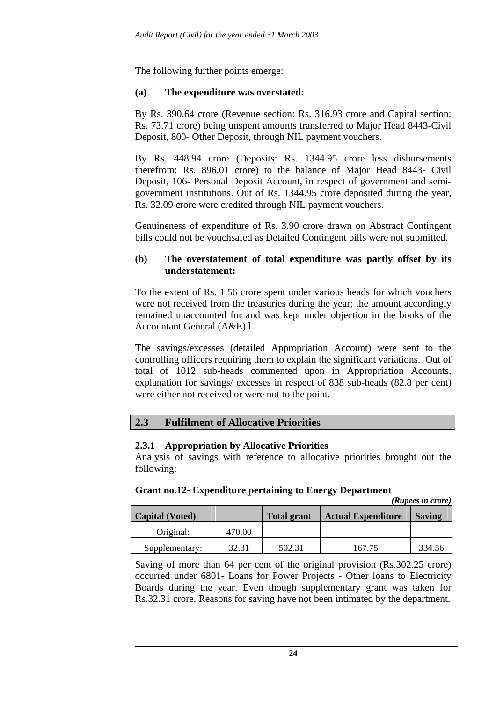The following further points emerge:

### **(a) The expenditure was overstated:**

By Rs. 390.64 crore (Revenue section: Rs. 316.93 crore and Capital section: Rs. 73.71 crore) being unspent amounts transferred to Major Head 8443-Civil Deposit, 800- Other Deposit, through NIL payment vouchers.

By Rs. 448.94 crore (Deposits: Rs. 1344.95 crore less disbursements therefrom: Rs. 896.01 crore) to the balance of Major Head 8443- Civil Deposit, 106- Personal Deposit Account, in respect of government and semigovernment institutions. Out of Rs. 1344.95 crore deposited during the year, Rs. 32.09 crore were credited through NIL payment vouchers.

Genuineness of expenditure of Rs. 3.90 crore drawn on Abstract Contingent bills could not be vouchsafed as Detailed Contingent bills were not submitted.

#### **(b) The overstatement of total expenditure was partly offset by its understatement:**

To the extent of Rs. 1.56 crore spent under various heads for which vouchers were not received from the treasuries during the year; the amount accordingly remained unaccounted for and was kept under objection in the books of the Accountant General (A&E) l.

The savings/excesses (detailed Appropriation Account) were sent to the controlling officers requiring them to explain the significant variations. Out of total of 1012 sub-heads commented upon in Appropriation Accounts, explanation for savings/ excesses in respect of 838 sub-heads (82.8 per cent) were either not received or were not to the point.

## **2.3 Fulfilment of Allocative Priorities**

#### **2.3.1 Appropriation by Allocative Priorities**

Analysis of savings with reference to allocative priorities brought out the following:

#### **Grant no.12- Expenditure pertaining to Energy Department**

*(Rupees in crore)* 

| <b>Capital (Voted)</b> |        | <b>Total grant</b> | <b>Actual Expenditure</b> | <b>Saving</b> |
|------------------------|--------|--------------------|---------------------------|---------------|
| Original:              | 470.00 |                    |                           |               |
| Supplementary:         | 32.31  | 502.31             | 167.75                    | 334.56        |

Saving of more than 64 per cent of the original provision (Rs.302.25 crore) occurred under 6801- Loans for Power Projects - Other loans to Electricity Boards during the year. Even though supplementary grant was taken for Rs.32.31 crore. Reasons for saving have not been intimated by the department.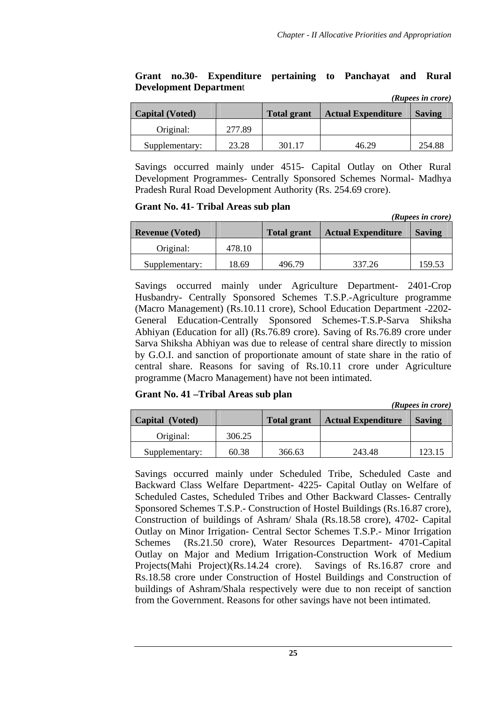*(Rupees in crore)* 

*(Rupees in crore)* 

*(Rupees in crore)* 

#### **Grant no.30- Expenditure pertaining to Panchayat and Rural Development Departmen**t

| Capital (Voted) |        | <b>Total grant</b> | <b>Actual Expenditure</b> | <b>Saving</b> |
|-----------------|--------|--------------------|---------------------------|---------------|
| Original:       | 277.89 |                    |                           |               |
| Supplementary:  | 23.28  | 301.17             | 46.29                     | 254.88        |

Savings occurred mainly under 4515- Capital Outlay on Other Rural Development Programmes- Centrally Sponsored Schemes Normal- Madhya Pradesh Rural Road Development Authority (Rs. 254.69 crore).

#### **Grant No. 41- Tribal Areas sub plan**

| (IWDCC) 111 UI 01 C /  |        |                    |                           |               |
|------------------------|--------|--------------------|---------------------------|---------------|
| <b>Revenue (Voted)</b> |        | <b>Total grant</b> | <b>Actual Expenditure</b> | <b>Saving</b> |
| Original:              | 478.10 |                    |                           |               |
| Supplementary:         | 18.69  | 496.79             | 337.26                    | 159.53        |

Savings occurred mainly under Agriculture Department- 2401-Crop Husbandry- Centrally Sponsored Schemes T.S.P.-Agriculture programme (Macro Management) (Rs.10.11 crore), School Education Department -2202- General Education-Centrally Sponsored Schemes-T.S.P-Sarva Shiksha Abhiyan (Education for all) (Rs.76.89 crore). Saving of Rs.76.89 crore under Sarva Shiksha Abhiyan was due to release of central share directly to mission by G.O.I. and sanction of proportionate amount of state share in the ratio of central share. Reasons for saving of Rs.10.11 crore under Agriculture programme (Macro Management) have not been intimated.

**Grant No. 41 –Tribal Areas sub plan** 

| Capital (Voted) |        | <b>Total grant</b> | <b>Actual Expenditure</b> | <b>Saving</b> |
|-----------------|--------|--------------------|---------------------------|---------------|
| Original:       | 306.25 |                    |                           |               |
| Supplementary:  | 60.38  | 366.63             | 243.48                    | 123.15        |

Savings occurred mainly under Scheduled Tribe, Scheduled Caste and Backward Class Welfare Department- 4225- Capital Outlay on Welfare of Scheduled Castes, Scheduled Tribes and Other Backward Classes- Centrally Sponsored Schemes T.S.P.- Construction of Hostel Buildings (Rs.16.87 crore), Construction of buildings of Ashram/ Shala (Rs.18.58 crore), 4702- Capital Outlay on Minor Irrigation- Central Sector Schemes T.S.P.- Minor Irrigation Schemes (Rs.21.50 crore), Water Resources Department- 4701-Capital Outlay on Major and Medium Irrigation-Construction Work of Medium Projects(Mahi Project)(Rs.14.24 crore). Savings of Rs.16.87 crore and Rs.18.58 crore under Construction of Hostel Buildings and Construction of buildings of Ashram/Shala respectively were due to non receipt of sanction from the Government. Reasons for other savings have not been intimated.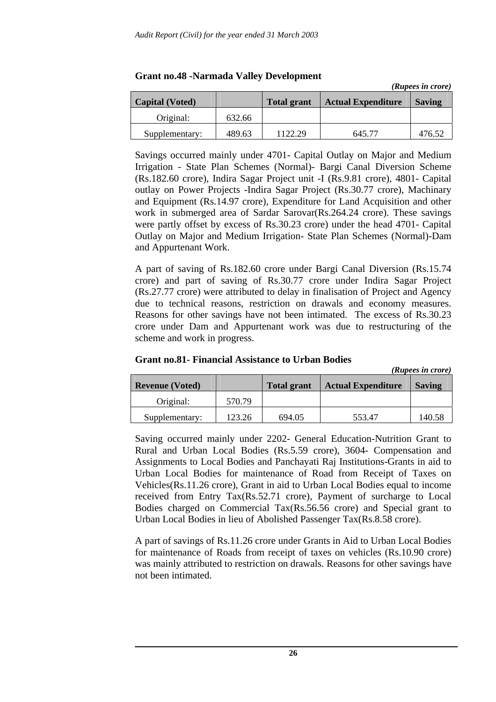|                        |        |                    |                           | (Rupees in crore) |
|------------------------|--------|--------------------|---------------------------|-------------------|
| <b>Capital (Voted)</b> |        | <b>Total grant</b> | <b>Actual Expenditure</b> | <b>Saving</b>     |
| Original:              | 632.66 |                    |                           |                   |
| Supplementary:         | 489.63 | 1122.29            | 645.77                    | 476.52            |

#### **Grant no.48 -Narmada Valley Development**

Savings occurred mainly under 4701- Capital Outlay on Major and Medium Irrigation - State Plan Schemes (Normal)- Bargi Canal Diversion Scheme (Rs.182.60 crore), Indira Sagar Project unit -I (Rs.9.81 crore), 4801- Capital outlay on Power Projects -Indira Sagar Project (Rs.30.77 crore), Machinary and Equipment (Rs.14.97 crore), Expenditure for Land Acquisition and other work in submerged area of Sardar Sarovar(Rs.264.24 crore). These savings were partly offset by excess of Rs.30.23 crore) under the head 4701- Capital Outlay on Major and Medium Irrigation- State Plan Schemes (Normal)-Dam and Appurtenant Work.

A part of saving of Rs.182.60 crore under Bargi Canal Diversion (Rs.15.74 crore) and part of saving of Rs.30.77 crore under Indira Sagar Project (Rs.27.77 crore) were attributed to delay in finalisation of Project and Agency due to technical reasons, restriction on drawals and economy measures. Reasons for other savings have not been intimated. The excess of Rs.30.23 crore under Dam and Appurtenant work was due to restructuring of the scheme and work in progress.

#### **Grant no.81- Financial Assistance to Urban Bodies**

|                        |        |                    |                           | (Rupees in crore) |
|------------------------|--------|--------------------|---------------------------|-------------------|
| <b>Revenue (Voted)</b> |        | <b>Total grant</b> | <b>Actual Expenditure</b> | <b>Saving</b>     |
| Original:              | 570.79 |                    |                           |                   |
| Supplementary:         | 123.26 | 694.05             | 553.47                    | 140.58            |

Saving occurred mainly under 2202- General Education-Nutrition Grant to Rural and Urban Local Bodies (Rs.5.59 crore), 3604- Compensation and Assignments to Local Bodies and Panchayati Raj Institutions-Grants in aid to Urban Local Bodies for maintenance of Road from Receipt of Taxes on Vehicles(Rs.11.26 crore), Grant in aid to Urban Local Bodies equal to income received from Entry Tax(Rs.52.71 crore), Payment of surcharge to Local Bodies charged on Commercial Tax(Rs.56.56 crore) and Special grant to Urban Local Bodies in lieu of Abolished Passenger Tax(Rs.8.58 crore).

A part of savings of Rs.11.26 crore under Grants in Aid to Urban Local Bodies for maintenance of Roads from receipt of taxes on vehicles (Rs.10.90 crore) was mainly attributed to restriction on drawals. Reasons for other savings have not been intimated.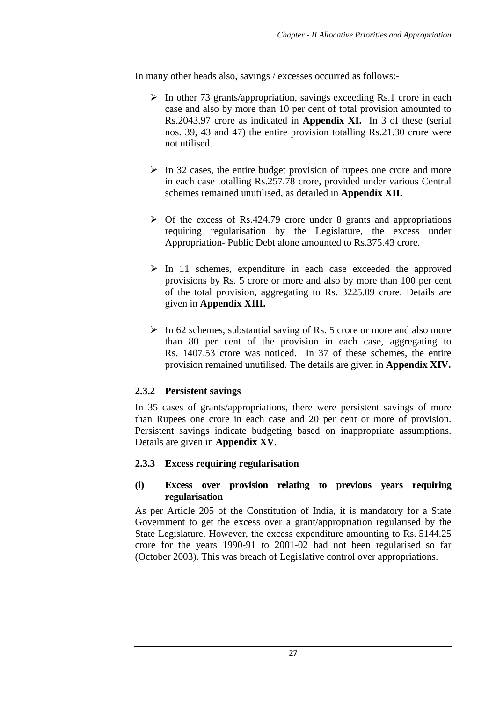In many other heads also, savings / excesses occurred as follows:-

- $\triangleright$  In other 73 grants/appropriation, savings exceeding Rs.1 crore in each case and also by more than 10 per cent of total provision amounted to Rs.2043.97 crore as indicated in **Appendix XI.** In 3 of these (serial nos. 39, 43 and 47) the entire provision totalling Rs.21.30 crore were not utilised.
- $\triangleright$  In 32 cases, the entire budget provision of rupees one crore and more in each case totalling Rs.257.78 crore, provided under various Central schemes remained unutilised, as detailed in **Appendix XII.**
- $\triangleright$  Of the excess of Rs.424.79 crore under 8 grants and appropriations requiring regularisation by the Legislature, the excess under Appropriation- Public Debt alone amounted to Rs.375.43 crore.
- $\triangleright$  In 11 schemes, expenditure in each case exceeded the approved provisions by Rs. 5 crore or more and also by more than 100 per cent of the total provision, aggregating to Rs. 3225.09 crore. Details are given in **Appendix XIII.**
- $\triangleright$  In 62 schemes, substantial saving of Rs. 5 crore or more and also more than 80 per cent of the provision in each case, aggregating to Rs. 1407.53 crore was noticed. In 37 of these schemes, the entire provision remained unutilised. The details are given in **Appendix XIV.**

## **2.3.2 Persistent savings**

In 35 cases of grants/appropriations, there were persistent savings of more than Rupees one crore in each case and 20 per cent or more of provision. Persistent savings indicate budgeting based on inappropriate assumptions. Details are given in **Appendix XV**.

## **2.3.3 Excess requiring regularisation**

#### **(i) Excess over provision relating to previous years requiring regularisation**

As per Article 205 of the Constitution of India, it is mandatory for a State Government to get the excess over a grant/appropriation regularised by the State Legislature. However, the excess expenditure amounting to Rs. 5144.25 crore for the years 1990-91 to 2001-02 had not been regularised so far (October 2003). This was breach of Legislative control over appropriations.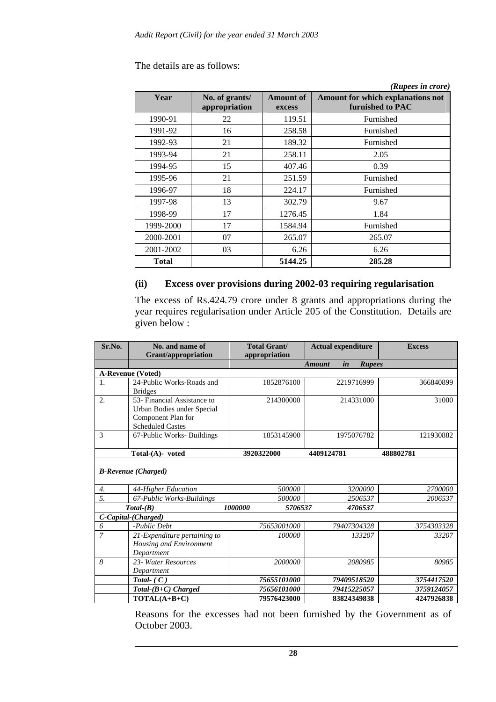#### The details are as follows:

|              |                                 |                            | (Rupees in crore)                                     |
|--------------|---------------------------------|----------------------------|-------------------------------------------------------|
| Year         | No. of grants/<br>appropriation | <b>Amount of</b><br>excess | Amount for which explanations not<br>furnished to PAC |
| 1990-91      | 22                              | 119.51                     | Furnished                                             |
| 1991-92      | 16                              | 258.58                     | Furnished                                             |
| 1992-93      | 21                              | 189.32                     | Furnished                                             |
| 1993-94      | 21                              | 258.11                     | 2.05                                                  |
| 1994-95      | 15                              | 407.46                     | 0.39                                                  |
| 1995-96      | 21                              | 251.59                     | Furnished                                             |
| 1996-97      | 18                              | 224.17                     | Furnished                                             |
| 1997-98      | 13                              | 302.79                     | 9.67                                                  |
| 1998-99      | 17                              | 1276.45                    | 1.84                                                  |
| 1999-2000    | 17                              | 1584.94                    | Furnished                                             |
| 2000-2001    | 07                              | 265.07                     | 265.07                                                |
| 2001-2002    | 03                              | 6.26                       | 6.26                                                  |
| <b>Total</b> |                                 | 5144.25                    | 285.28                                                |

### **(ii) Excess over provisions during 2002-03 requiring regularisation**

The excess of Rs.424.79 crore under 8 grants and appropriations during the year requires regularisation under Article 205 of the Constitution. Details are given below :

| Sr.No. | No. and name of<br><b>Grant/appropriation</b>                                                              | <b>Total Grant/</b><br>appropriation | <b>Actual expenditure</b>            | <b>Excess</b> |
|--------|------------------------------------------------------------------------------------------------------------|--------------------------------------|--------------------------------------|---------------|
|        |                                                                                                            |                                      | in<br><b>Rupees</b><br><b>Amount</b> |               |
|        | <b>A-Revenue (Voted)</b>                                                                                   |                                      |                                      |               |
| 1.     | 24-Public Works-Roads and<br><b>Bridges</b>                                                                | 1852876100                           | 2219716999                           | 366840899     |
| 2.     | 53- Financial Assistance to<br>Urban Bodies under Special<br>Component Plan for<br><b>Scheduled Castes</b> | 214300000                            | 214331000                            | 31000         |
| 3      | 67-Public Works- Buildings                                                                                 | 1853145900                           | 1975076782                           | 121930882     |
|        | $Total-(A)-voted$                                                                                          | 3920322000                           | 4409124781                           | 488802781     |
|        | <b>B-Revenue</b> (Charged)                                                                                 |                                      |                                      |               |
| 4.     | 44-Higher Education                                                                                        | 500000                               | 3200000                              | 2700000       |
| 5.     | 67-Public Works-Buildings                                                                                  | 500000                               | 2506537                              | 2006537       |
|        | $Total-(B)$                                                                                                | 1000000<br>5706537                   | 4706537                              |               |
|        | C-Capital-(Charged)                                                                                        |                                      |                                      |               |
| 6      | -Public Debt                                                                                               | 75653001000                          | 79407304328                          | 3754303328    |
| 7      | 21-Expenditure pertaining to<br>Housing and Environment<br>Department                                      | 100000                               | 133207                               | 33207         |
| 8      | 23- Water Resources<br>Department                                                                          | 2000000                              | 2080985                              | 80985         |
|        | Total- $(C)$                                                                                               | 75655101000                          | 79409518520                          | 3754417520    |
|        | $Total-(B+C)$ Charged                                                                                      | 75656101000                          | 79415225057                          | 3759124057    |
|        | TOTAL(A+B+C)                                                                                               | 79576423000                          | 83824349838                          | 4247926838    |

Reasons for the excesses had not been furnished by the Government as of October 2003.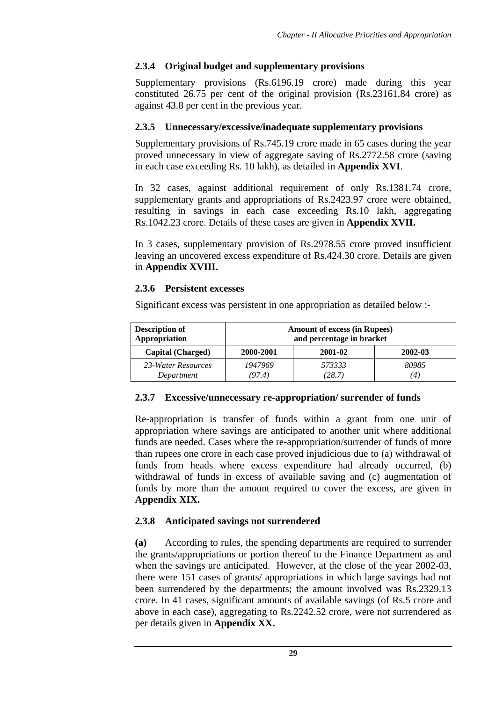## **2.3.4 Original budget and supplementary provisions**

Supplementary provisions (Rs.6196.19 crore) made during this year constituted 26.75 per cent of the original provision (Rs.23161.84 crore) as against 43.8 per cent in the previous year.

### **2.3.5 Unnecessary/excessive/inadequate supplementary provisions**

Supplementary provisions of Rs.745.19 crore made in 65 cases during the year proved unnecessary in view of aggregate saving of Rs.2772.58 crore (saving in each case exceeding Rs. 10 lakh), as detailed in **Appendix XVI**.

In 32 cases, against additional requirement of only Rs.1381.74 crore, supplementary grants and appropriations of Rs.2423.97 crore were obtained, resulting in savings in each case exceeding Rs.10 lakh, aggregating Rs.1042.23 crore. Details of these cases are given in **Appendix XVII.**

In 3 cases, supplementary provision of Rs.2978.55 crore proved insufficient leaving an uncovered excess expenditure of Rs.424.30 crore. Details are given in **Appendix XVIII.**

## **2.3.6 Persistent excesses**

Significant excess was persistent in one appropriation as detailed below :-

| <b>Description of</b>    | <b>Amount of excess (in Rupees)</b> |         |         |  |
|--------------------------|-------------------------------------|---------|---------|--|
| Appropriation            | and percentage in bracket           |         |         |  |
| <b>Capital (Charged)</b> | 2000-2001                           | 2001-02 | 2002-03 |  |
| 23-Water Resources       | 1947969                             | 573333  | 80985   |  |
| Department               | (97.4)                              | (28.7)  | (4)     |  |

## **2.3.7 Excessive/unnecessary re-appropriation/ surrender of funds**

Re-appropriation is transfer of funds within a grant from one unit of appropriation where savings are anticipated to another unit where additional funds are needed. Cases where the re-appropriation/surrender of funds of more than rupees one crore in each case proved injudicious due to (a) withdrawal of funds from heads where excess expenditure had already occurred, (b) withdrawal of funds in excess of available saving and (c) augmentation of funds by more than the amount required to cover the excess, are given in **Appendix XIX.** 

## **2.3.8 Anticipated savings not surrendered**

**(a)** According to rules, the spending departments are required to surrender the grants/appropriations or portion thereof to the Finance Department as and when the savings are anticipated. However, at the close of the year 2002-03, there were 151 cases of grants/ appropriations in which large savings had not been surrendered by the departments; the amount involved was Rs.2329.13 crore. In 41 cases, significant amounts of available savings (of Rs.5 crore and above in each case), aggregating to Rs.2242.52 crore, were not surrendered as per details given in **Appendix XX.**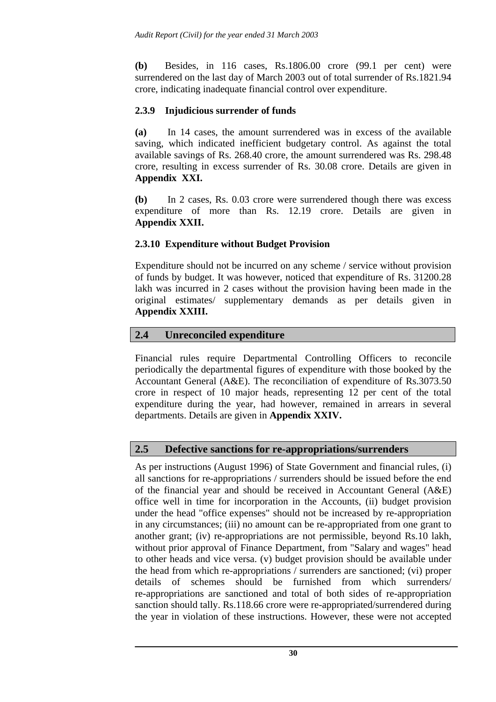**(b)** Besides, in 116 cases, Rs.1806.00 crore (99.1 per cent) were surrendered on the last day of March 2003 out of total surrender of Rs.1821.94 crore, indicating inadequate financial control over expenditure.

### **2.3.9 Injudicious surrender of funds**

**(a)** In 14 cases, the amount surrendered was in excess of the available saving, which indicated inefficient budgetary control. As against the total available savings of Rs. 268.40 crore, the amount surrendered was Rs. 298.48 crore, resulting in excess surrender of Rs. 30.08 crore. Details are given in **Appendix XXI.** 

**(b)** In 2 cases, Rs. 0.03 crore were surrendered though there was excess expenditure of more than Rs. 12.19 crore. Details are given in **Appendix XXII.** 

### **2.3.10 Expenditure without Budget Provision**

Expenditure should not be incurred on any scheme / service without provision of funds by budget. It was however, noticed that expenditure of Rs. 31200.28 lakh was incurred in 2 cases without the provision having been made in the original estimates/ supplementary demands as per details given in **Appendix XXIII.** 

### **2.4 Unreconciled expenditure**

Financial rules require Departmental Controlling Officers to reconcile periodically the departmental figures of expenditure with those booked by the Accountant General (A&E). The reconciliation of expenditure of Rs.3073.50 crore in respect of 10 major heads, representing 12 per cent of the total expenditure during the year, had however, remained in arrears in several departments. Details are given in **Appendix XXIV.** 

## **2.5 Defective sanctions for re-appropriations/surrenders**

As per instructions (August 1996) of State Government and financial rules, (i) all sanctions for re-appropriations / surrenders should be issued before the end of the financial year and should be received in Accountant General (A&E) office well in time for incorporation in the Accounts, (ii) budget provision under the head "office expenses" should not be increased by re-appropriation in any circumstances; (iii) no amount can be re-appropriated from one grant to another grant; (iv) re-appropriations are not permissible, beyond Rs.10 lakh, without prior approval of Finance Department, from "Salary and wages" head to other heads and vice versa. (v) budget provision should be available under the head from which re-appropriations / surrenders are sanctioned; (vi) proper details of schemes should be furnished from which surrenders/ re-appropriations are sanctioned and total of both sides of re-appropriation sanction should tally. Rs.118.66 crore were re-appropriated/surrendered during the year in violation of these instructions. However, these were not accepted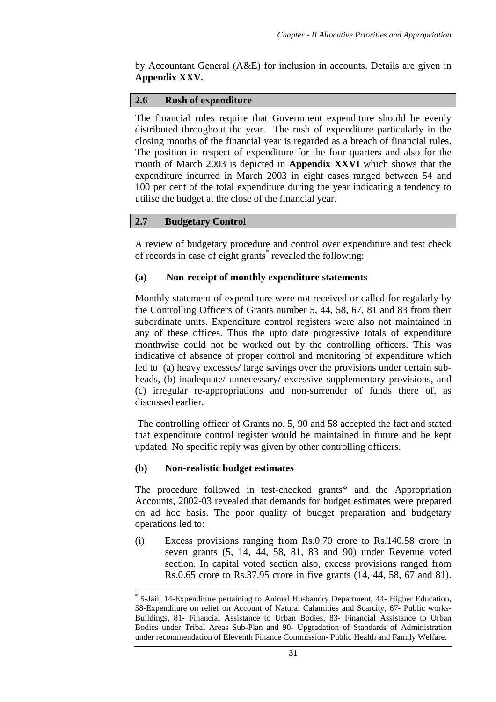by Accountant General (A&E) for inclusion in accounts. Details are given in **Appendix XXV.**

#### **2.6 Rush of expenditure**

The financial rules require that Government expenditure should be evenly distributed throughout the year. The rush of expenditure particularly in the closing months of the financial year is regarded as a breach of financial rules. The position in respect of expenditure for the four quarters and also for the month of March 2003 is depicted in **Appendix XXVI** which shows that the expenditure incurred in March 2003 in eight cases ranged between 54 and 100 per cent of the total expenditure during the year indicating a tendency to utilise the budget at the close of the financial year.

#### **2.7 Budgetary Control**

A review of budgetary procedure and control over expenditure and test check of records in case of eight grants<sup>\*</sup> revealed the following:

#### **(a) Non-receipt of monthly expenditure statements**

Monthly statement of expenditure were not received or called for regularly by the Controlling Officers of Grants number 5, 44, 58, 67, 81 and 83 from their subordinate units. Expenditure control registers were also not maintained in any of these offices. Thus the upto date progressive totals of expenditure monthwise could not be worked out by the controlling officers. This was indicative of absence of proper control and monitoring of expenditure which led to (a) heavy excesses/ large savings over the provisions under certain subheads, (b) inadequate/ unnecessary/ excessive supplementary provisions, and (c) irregular re-appropriations and non-surrender of funds there of, as discussed earlier.

 The controlling officer of Grants no. 5, 90 and 58 accepted the fact and stated that expenditure control register would be maintained in future and be kept updated. No specific reply was given by other controlling officers.

#### **(b) Non-realistic budget estimates**

 $\overline{a}$ 

The procedure followed in test-checked grants\* and the Appropriation Accounts, 2002-03 revealed that demands for budget estimates were prepared on ad hoc basis. The poor quality of budget preparation and budgetary operations led to:

(i) Excess provisions ranging from Rs.0.70 crore to Rs.140.58 crore in seven grants (5, 14, 44, 58, 81, 83 and 90) under Revenue voted section. In capital voted section also, excess provisions ranged from Rs.0.65 crore to Rs.37.95 crore in five grants (14, 44, 58, 67 and 81).

<sup>\*</sup> 5-Jail, 14-Expenditure pertaining to Animal Husbandry Department, 44- Higher Education, 58-Expenditure on relief on Account of Natural Calamities and Scarcity, 67- Public works-Buildings, 81- Financial Assistance to Urban Bodies, 83- Financial Assistance to Urban Bodies under Tribal Areas Sub-Plan and 90- Upgradation of Standards of Administration under recommendation of Eleventh Finance Commission- Public Health and Family Welfare.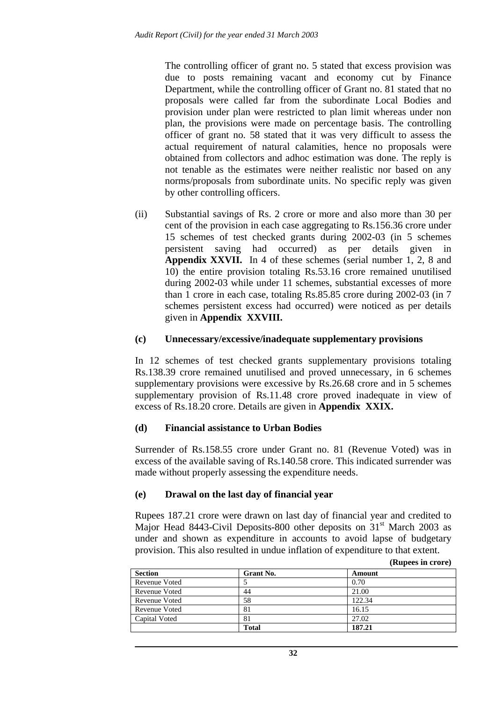The controlling officer of grant no. 5 stated that excess provision was due to posts remaining vacant and economy cut by Finance Department, while the controlling officer of Grant no. 81 stated that no proposals were called far from the subordinate Local Bodies and provision under plan were restricted to plan limit whereas under non plan, the provisions were made on percentage basis. The controlling officer of grant no. 58 stated that it was very difficult to assess the actual requirement of natural calamities, hence no proposals were obtained from collectors and adhoc estimation was done. The reply is not tenable as the estimates were neither realistic nor based on any norms/proposals from subordinate units. No specific reply was given by other controlling officers.

(ii) Substantial savings of Rs. 2 crore or more and also more than 30 per cent of the provision in each case aggregating to Rs.156.36 crore under 15 schemes of test checked grants during 2002-03 (in 5 schemes persistent saving had occurred) as per details given in **Appendix XXVII.** In 4 of these schemes (serial number 1, 2, 8 and 10) the entire provision totaling Rs.53.16 crore remained unutilised during 2002-03 while under 11 schemes, substantial excesses of more than 1 crore in each case, totaling Rs.85.85 crore during 2002-03 (in 7 schemes persistent excess had occurred) were noticed as per details given in **Appendix XXVIII.** 

#### **(c) Unnecessary/excessive/inadequate supplementary provisions**

In 12 schemes of test checked grants supplementary provisions totaling Rs.138.39 crore remained unutilised and proved unnecessary, in 6 schemes supplementary provisions were excessive by Rs.26.68 crore and in 5 schemes supplementary provision of Rs.11.48 crore proved inadequate in view of excess of Rs.18.20 crore. Details are given in **Appendix XXIX.** 

#### **(d) Financial assistance to Urban Bodies**

Surrender of Rs.158.55 crore under Grant no. 81 (Revenue Voted) was in excess of the available saving of Rs.140.58 crore. This indicated surrender was made without properly assessing the expenditure needs.

#### **(e) Drawal on the last day of financial year**

Rupees 187.21 crore were drawn on last day of financial year and credited to Major Head 8443-Civil Deposits-800 other deposits on  $31<sup>st</sup>$  March 2003 as under and shown as expenditure in accounts to avoid lapse of budgetary provision. This also resulted in undue inflation of expenditure to that extent.

|                  | , _ _ _ _ _ _ _ _ _ _ _ _ _ _ _ |
|------------------|---------------------------------|
| <b>Grant No.</b> | Amount                          |
|                  | 0.70                            |
| 44               | 21.00                           |
| 58               | 122.34                          |
| 81               | 16.15                           |
| 81               | 27.02                           |
| Total            | 187.21                          |
|                  |                                 |

**(Rupees in crore)**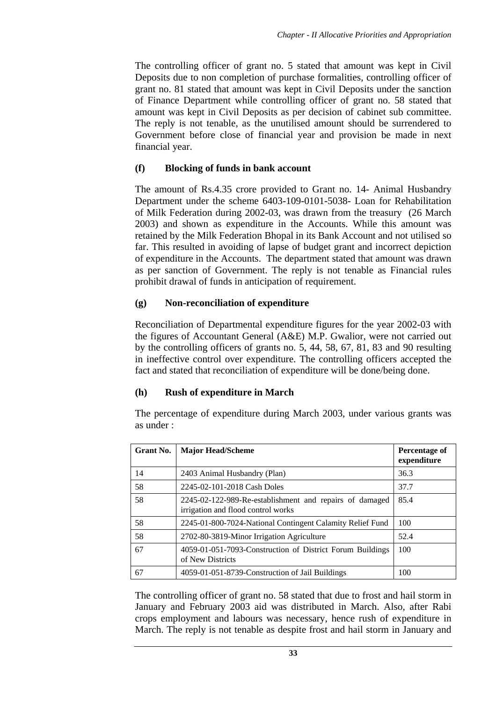The controlling officer of grant no. 5 stated that amount was kept in Civil Deposits due to non completion of purchase formalities, controlling officer of grant no. 81 stated that amount was kept in Civil Deposits under the sanction of Finance Department while controlling officer of grant no. 58 stated that amount was kept in Civil Deposits as per decision of cabinet sub committee. The reply is not tenable, as the unutilised amount should be surrendered to Government before close of financial year and provision be made in next financial year.

### **(f) Blocking of funds in bank account**

The amount of Rs.4.35 crore provided to Grant no. 14- Animal Husbandry Department under the scheme 6403-109-0101-5038- Loan for Rehabilitation of Milk Federation during 2002-03, was drawn from the treasury (26 March 2003) and shown as expenditure in the Accounts. While this amount was retained by the Milk Federation Bhopal in its Bank Account and not utilised so far. This resulted in avoiding of lapse of budget grant and incorrect depiction of expenditure in the Accounts. The department stated that amount was drawn as per sanction of Government. The reply is not tenable as Financial rules prohibit drawal of funds in anticipation of requirement.

### **(g) Non-reconciliation of expenditure**

Reconciliation of Departmental expenditure figures for the year 2002-03 with the figures of Accountant General (A&E) M.P. Gwalior, were not carried out by the controlling officers of grants no. 5, 44, 58, 67, 81, 83 and 90 resulting in ineffective control over expenditure. The controlling officers accepted the fact and stated that reconciliation of expenditure will be done/being done.

## **(h) Rush of expenditure in March**

The percentage of expenditure during March 2003, under various grants was as under :

| Grant No. | <b>Major Head/Scheme</b>                                                                      | Percentage of<br>expenditure |
|-----------|-----------------------------------------------------------------------------------------------|------------------------------|
| 14        | 2403 Animal Husbandry (Plan)                                                                  | 36.3                         |
| 58        | 2245-02-101-2018 Cash Doles                                                                   | 37.7                         |
| 58        | 2245-02-122-989-Re-establishment and repairs of damaged<br>irrigation and flood control works | 85.4                         |
| 58        | 2245-01-800-7024-National Contingent Calamity Relief Fund                                     | 100                          |
| 58        | 2702-80-3819-Minor Irrigation Agriculture                                                     | 52.4                         |
| 67        | 4059-01-051-7093-Construction of District Forum Buildings<br>of New Districts                 | 100                          |
| 67        | 4059-01-051-8739-Construction of Jail Buildings                                               | 100                          |

The controlling officer of grant no. 58 stated that due to frost and hail storm in January and February 2003 aid was distributed in March. Also, after Rabi crops employment and labours was necessary, hence rush of expenditure in March. The reply is not tenable as despite frost and hail storm in January and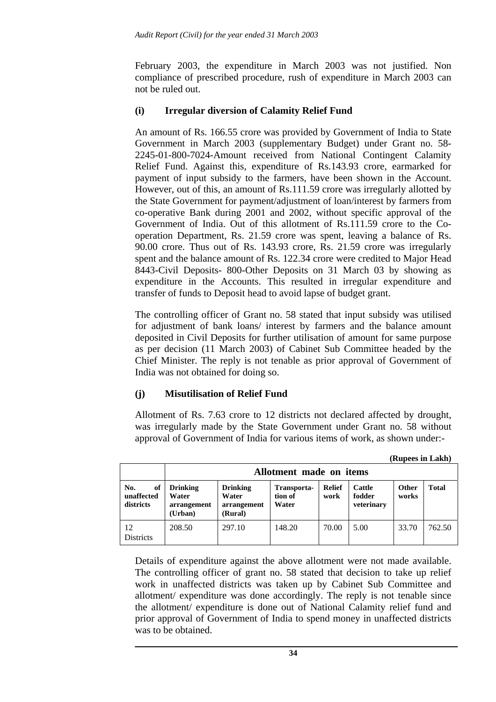February 2003, the expenditure in March 2003 was not justified. Non compliance of prescribed procedure, rush of expenditure in March 2003 can not be ruled out.

### **(i) Irregular diversion of Calamity Relief Fund**

An amount of Rs. 166.55 crore was provided by Government of India to State Government in March 2003 (supplementary Budget) under Grant no. 58- 2245-01-800-7024-Amount received from National Contingent Calamity Relief Fund. Against this, expenditure of Rs.143.93 crore, earmarked for payment of input subsidy to the farmers, have been shown in the Account. However, out of this, an amount of Rs.111.59 crore was irregularly allotted by the State Government for payment/adjustment of loan/interest by farmers from co-operative Bank during 2001 and 2002, without specific approval of the Government of India. Out of this allotment of Rs.111.59 crore to the Cooperation Department, Rs. 21.59 crore was spent, leaving a balance of Rs. 90.00 crore. Thus out of Rs. 143.93 crore, Rs. 21.59 crore was irregularly spent and the balance amount of Rs. 122.34 crore were credited to Major Head 8443-Civil Deposits- 800-Other Deposits on 31 March 03 by showing as expenditure in the Accounts. This resulted in irregular expenditure and transfer of funds to Deposit head to avoid lapse of budget grant.

The controlling officer of Grant no. 58 stated that input subsidy was utilised for adjustment of bank loans/ interest by farmers and the balance amount deposited in Civil Deposits for further utilisation of amount for same purpose as per decision (11 March 2003) of Cabinet Sub Committee headed by the Chief Minister. The reply is not tenable as prior approval of Government of India was not obtained for doing so.

## **(j) Misutilisation of Relief Fund**

Allotment of Rs. 7.63 crore to 12 districts not declared affected by drought, was irregularly made by the State Government under Grant no. 58 without approval of Government of India for various items of work, as shown under:-

**(Rupees in Lakh)**

|                                      |                                                    |                                                    |                                 |                       |                                       | $\mathbf{r}$   |        |
|--------------------------------------|----------------------------------------------------|----------------------------------------------------|---------------------------------|-----------------------|---------------------------------------|----------------|--------|
|                                      | Allotment made on items                            |                                                    |                                 |                       |                                       |                |        |
| No.<br>of<br>unaffected<br>districts | <b>Drinking</b><br>Water<br>arrangement<br>(Urban) | <b>Drinking</b><br>Water<br>arrangement<br>(Rural) | Transporta-<br>tion of<br>Water | <b>Relief</b><br>work | <b>Cattle</b><br>fodder<br>veterinary | Other<br>works | Total  |
| 12<br><b>Districts</b>               | 208.50                                             | 297.10                                             | 148.20                          | 70.00                 | 5.00                                  | 33.70          | 762.50 |

Details of expenditure against the above allotment were not made available. The controlling officer of grant no. 58 stated that decision to take up relief work in unaffected districts was taken up by Cabinet Sub Committee and allotment/ expenditure was done accordingly. The reply is not tenable since the allotment/ expenditure is done out of National Calamity relief fund and prior approval of Government of India to spend money in unaffected districts was to be obtained.

**34**